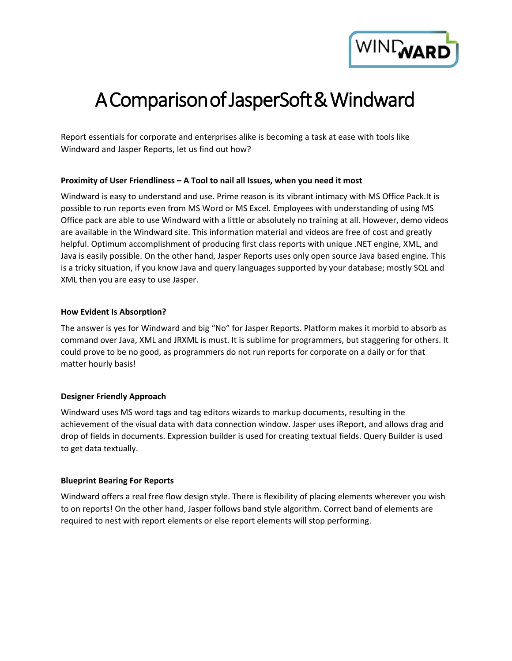

# A Comparison of JasperSoft & Windward

Report essentials for corporate and enterprises alike is becoming a task at ease with tools like Windward and Jasper Reports, let us find out how?

# **Proximity of User Friendliness – A Tool to nail all Issues, when you need it most**

Windward is easy to understand and use. Prime reason is its vibrant intimacy with MS Office Pack.It is possible to run reports even from MS Word or MS Excel. Employees with understanding of using MS Office pack are able to use Windward with a little or absolutely no training at all. However, demo videos are available in the Windward site. This information material and videos are free of cost and greatly helpful. Optimum accomplishment of producing first class reports with unique .NET engine, XML, and Java is easily possible. On the other hand, Jasper Reports uses only open source Java based engine. This is a tricky situation, if you know Java and query languages supported by your database; mostly SQL and XML then you are easy to use Jasper.

# **How Evident Is Absorption?**

The answer is yes for Windward and big "No" for Jasper Reports. Platform makes it morbid to absorb as command over Java, XML and JRXML is must. It is sublime for programmers, but staggering for others. It could prove to be no good, as programmers do not run reports for corporate on a daily or for that matter hourly basis!

# **Designer Friendly Approach**

Windward uses MS word tags and tag editors wizards to markup documents, resulting in the achievement of the visual data with data connection window. Jasper uses iReport, and allows drag and drop of fields in documents. Expression builder is used for creating textual fields. Query Builder is used to get data textually.

# **Blueprint Bearing For Reports**

Windward offers a real free flow design style. There is flexibility of placing elements wherever you wish to on reports! On the other hand, Jasper follows band style algorithm. Correct band of elements are required to nest with report elements or else report elements will stop performing.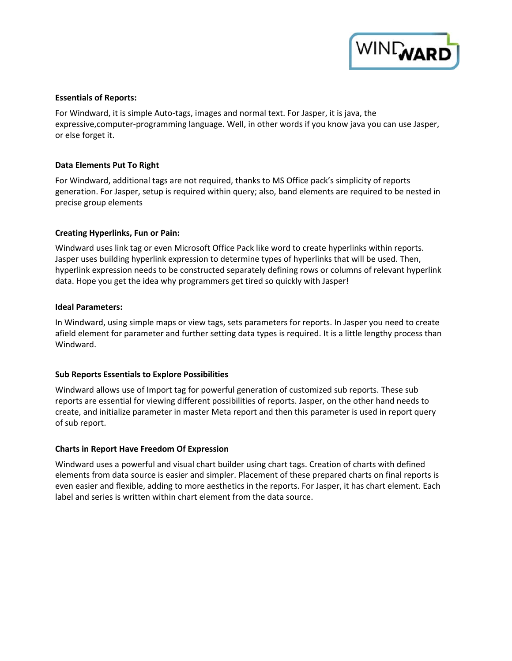

#### **Essentials of Reports:**

For Windward, it is simple Auto-tags, images and normal text. For Jasper, it is java, the expressive,computer-programming language. Well, in other words if you know java you can use Jasper, or else forget it.

#### **Data Elements Put To Right**

For Windward, additional tags are not required, thanks to MS Office pack's simplicity of reports generation. For Jasper, setup is required within query; also, band elements are required to be nested in precise group elements

#### **Creating Hyperlinks, Fun or Pain:**

Windward uses link tag or even Microsoft Office Pack like word to create hyperlinks within reports. Jasper uses building hyperlink expression to determine types of hyperlinks that will be used. Then, hyperlink expression needs to be constructed separately defining rows or columns of relevant hyperlink data. Hope you get the idea why programmers get tired so quickly with Jasper!

#### **Ideal Parameters:**

In Windward, using simple maps or view tags, sets parameters for reports. In Jasper you need to create afield element for parameter and further setting data types is required. It is a little lengthy process than Windward.

# **Sub Reports Essentials to Explore Possibilities**

Windward allows use of Import tag for powerful generation of customized sub reports. These sub reports are essential for viewing different possibilities of reports. Jasper, on the other hand needs to create, and initialize parameter in master Meta report and then this parameter is used in report query of sub report.

# **Charts in Report Have Freedom Of Expression**

Windward uses a powerful and visual chart builder using chart tags. Creation of charts with defined elements from data source is easier and simpler. Placement of these prepared charts on final reports is even easier and flexible, adding to more aesthetics in the reports. For Jasper, it has chart element. Each label and series is written within chart element from the data source.